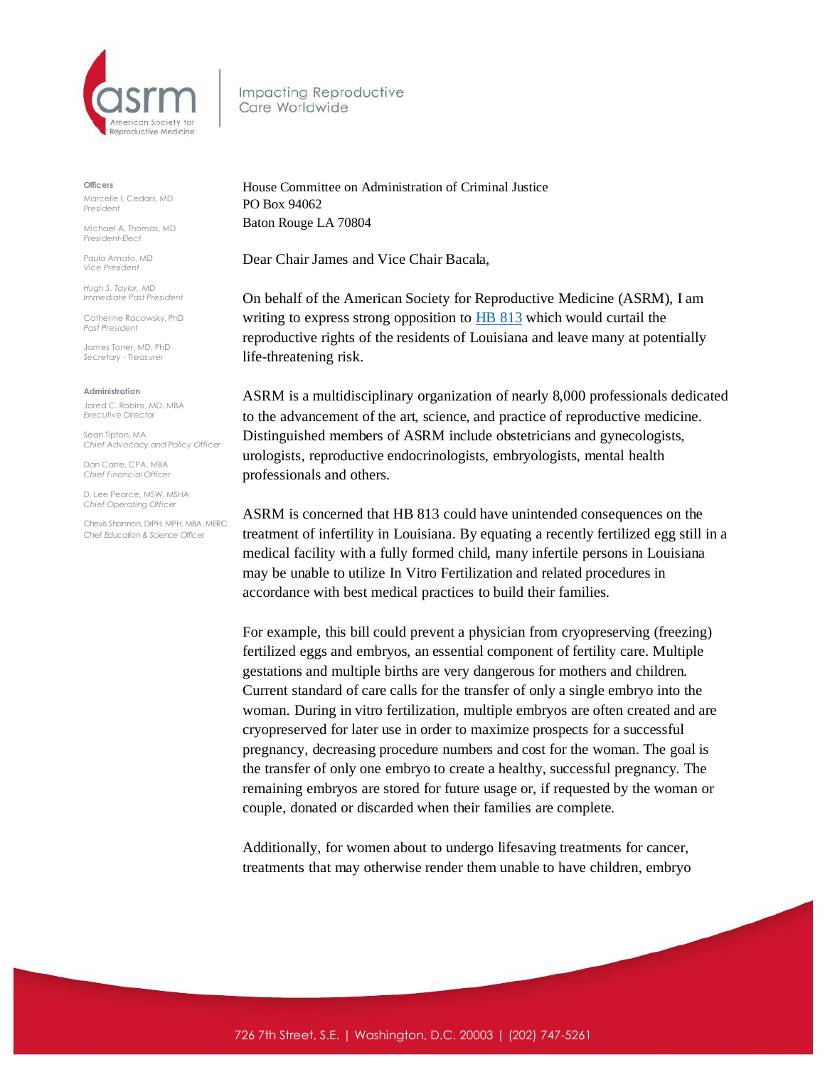

Impacting Reproductive Care Worldwide

## **Officers**

Marcelle I. Cedars, MD *President*

Michael A. Thomas, MD *President-Elect*

Paula Amato, MD *Vice President*

*Hugh S. Taylor, MD Immediate Past President*

Catherine Racowsky, PhD *Past President*

James Toner, MD, PhD *Secretary - Treasurer* 

## **Administration**

Jared C. Robins, MD, MBA *Executive Director*

Sean Tipton, MA *Chief Advocacy and Policy Officer*

Dan Carre, CPA, MBA *Chief Financial Officer*

D. Lee Pearce, MSW, MSHA *Chief Operating Officer* 

Chevis Shannon, DrPH, MPH, MBA, MERC *Chief Education & Science Officer*

House Committee on Administration of Criminal Justice PO Box 94062 Baton Rouge LA 70804

Dear Chair James and Vice Chair Bacala,

On behalf of the American Society for Reproductive Medicine (ASRM), I am writing to express strong opposition to **HB [813](https://s3.amazonaws.com/fn-document-service/file-by-sha384/033fd4e287d1f4857f80f0377865dbe278f735cdda559a10de05fcac3e97d144dc19c74c2df6ac994320ed983fcef6b5)** which would curtail the reproductive rights of the residents of Louisiana and leave many at potentially life-threatening risk.

ASRM is a multidisciplinary organization of nearly 8,000 professionals dedicated to the advancement of the art, science, and practice of reproductive medicine. Distinguished members of ASRM include obstetricians and gynecologists, urologists, reproductive endocrinologists, embryologists, mental health professionals and others.

ASRM is concerned that HB 813 could have unintended consequences on the treatment of infertility in Louisiana. By equating a recently fertilized egg still in a medical facility with a fully formed child, many infertile persons in Louisiana may be unable to utilize In Vitro Fertilization and related procedures in accordance with best medical practices to build their families.

For example, this bill could prevent a physician from cryopreserving (freezing) fertilized eggs and embryos, an essential component of fertility care. Multiple gestations and multiple births are very dangerous for mothers and children. Current standard of care calls for the transfer of only a single embryo into the woman. During in vitro fertilization, multiple embryos are often created and are cryopreserved for later use in order to maximize prospects for a successful pregnancy, decreasing procedure numbers and cost for the woman. The goal is the transfer of only one embryo to create a healthy, successful pregnancy. The remaining embryos are stored for future usage or, if requested by the woman or couple, donated or discarded when their families are complete.

Additionally, for women about to undergo lifesaving treatments for cancer, treatments that may otherwise render them unable to have children, embryo